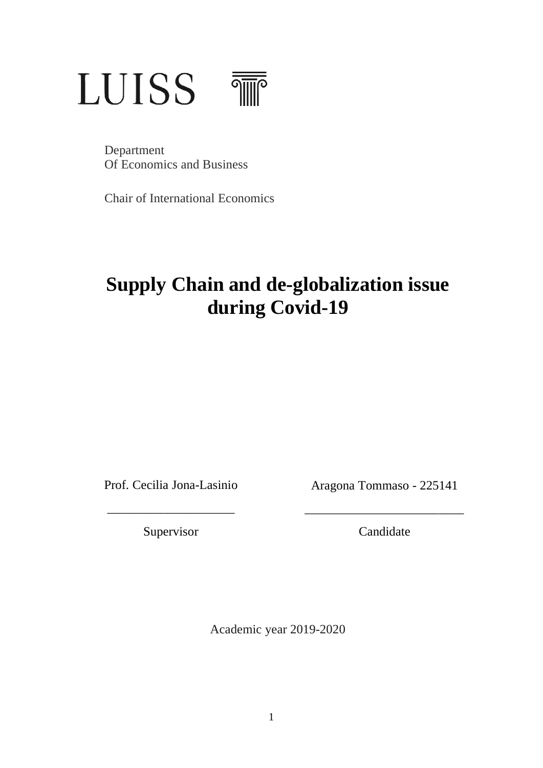# **LUISS**  $\frac{1}{\sqrt{2}}$

Department Of Economics and Business

Chair of International Economics

# **Supply Chain and de-globalization issue during Covid-19**

Prof. Cecilia Jona-Lasinio

Aragona Tommaso - 225141

\_\_\_\_\_\_\_\_\_\_\_\_\_\_\_\_\_\_\_\_\_\_\_\_\_

Supervisor

\_\_\_\_\_\_\_\_\_\_\_\_\_\_\_\_\_\_\_\_

Candidate

Academic year 2019-2020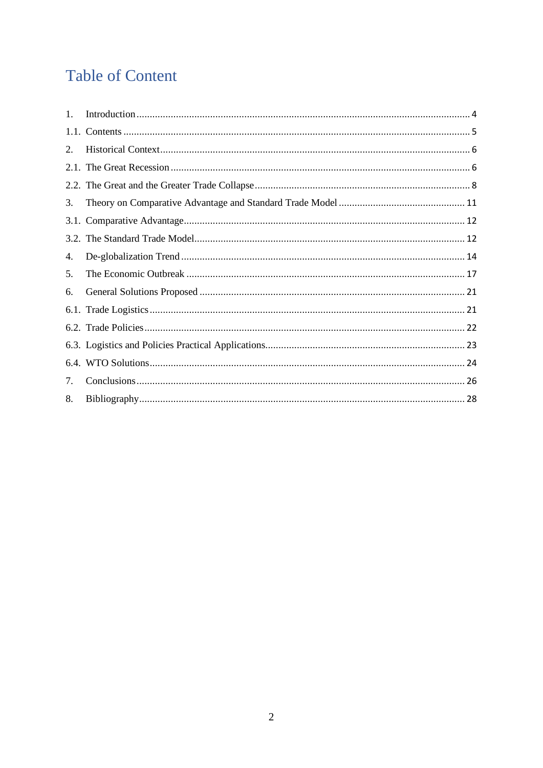# **Table of Content**

| $1_{\cdot}$ |  |
|-------------|--|
|             |  |
| 2.          |  |
|             |  |
|             |  |
| 3.          |  |
|             |  |
|             |  |
| 4.          |  |
| 5.          |  |
| 6.          |  |
|             |  |
|             |  |
|             |  |
|             |  |
| 7.          |  |
| 8.          |  |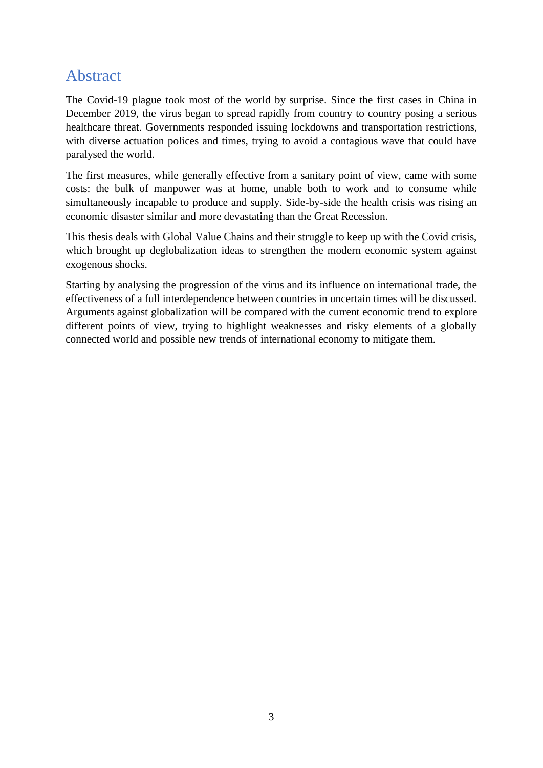### Abstract

The Covid-19 plague took most of the world by surprise. Since the first cases in China in December 2019, the virus began to spread rapidly from country to country posing a serious healthcare threat. Governments responded issuing lockdowns and transportation restrictions, with diverse actuation polices and times, trying to avoid a contagious wave that could have paralysed the world.

The first measures, while generally effective from a sanitary point of view, came with some costs: the bulk of manpower was at home, unable both to work and to consume while simultaneously incapable to produce and supply. Side-by-side the health crisis was rising an economic disaster similar and more devastating than the Great Recession.

This thesis deals with Global Value Chains and their struggle to keep up with the Covid crisis, which brought up deglobalization ideas to strengthen the modern economic system against exogenous shocks.

Starting by analysing the progression of the virus and its influence on international trade, the effectiveness of a full interdependence between countries in uncertain times will be discussed. Arguments against globalization will be compared with the current economic trend to explore different points of view, trying to highlight weaknesses and risky elements of a globally connected world and possible new trends of international economy to mitigate them.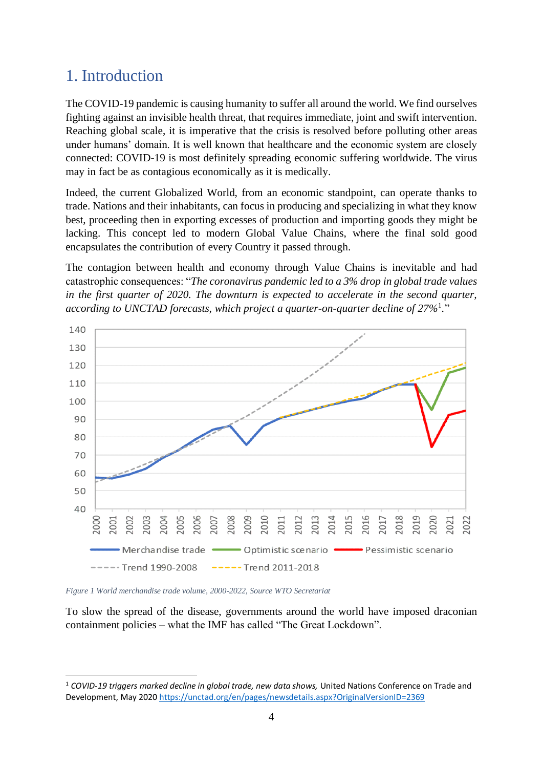### <span id="page-3-0"></span>1. Introduction

The COVID-19 pandemic is causing humanity to suffer all around the world. We find ourselves fighting against an invisible health threat, that requires immediate, joint and swift intervention. Reaching global scale, it is imperative that the crisis is resolved before polluting other areas under humans' domain. It is well known that healthcare and the economic system are closely connected: COVID-19 is most definitely spreading economic suffering worldwide. The virus may in fact be as contagious economically as it is medically.

Indeed, the current Globalized World, from an economic standpoint, can operate thanks to trade. Nations and their inhabitants, can focus in producing and specializing in what they know best, proceeding then in exporting excesses of production and importing goods they might be lacking. This concept led to modern Global Value Chains, where the final sold good encapsulates the contribution of every Country it passed through.

The contagion between health and economy through Value Chains is inevitable and had catastrophic consequences: "*The coronavirus pandemic led to a 3% drop in global trade values in the first quarter of 2020. The downturn is expected to accelerate in the second quarter, according to UNCTAD forecasts, which project a quarter-on-quarter decline of 27%*<sup>1</sup> *.*"



*Figure 1 World merchandise trade volume, 2000-2022, Source WTO Secretariat*

To slow the spread of the disease, governments around the world have imposed draconian containment policies – what the IMF has called "The Great Lockdown".

<sup>1</sup> *COVID-19 triggers marked decline in global trade, new data shows,* United Nations Conference on Trade and Development, May 202[0 https://unctad.org/en/pages/newsdetails.aspx?OriginalVersionID=2369](https://unctad.org/en/pages/newsdetails.aspx?OriginalVersionID=2369)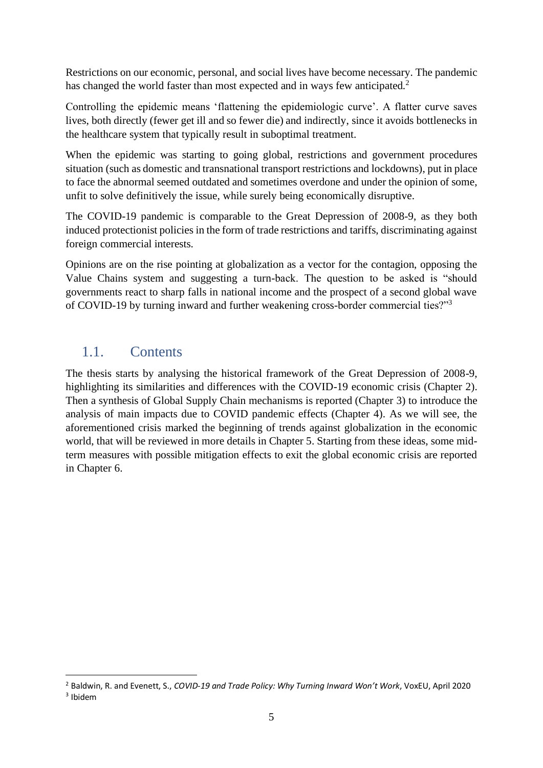Restrictions on our economic, personal, and social lives have become necessary. The pandemic has changed the world faster than most expected and in ways few anticipated.<sup>2</sup>

Controlling the epidemic means 'flattening the epidemiologic curve'. A flatter curve saves lives, both directly (fewer get ill and so fewer die) and indirectly, since it avoids bottlenecks in the healthcare system that typically result in suboptimal treatment.

When the epidemic was starting to going global, restrictions and government procedures situation (such as domestic and transnational transport restrictions and lockdowns), put in place to face the abnormal seemed outdated and sometimes overdone and under the opinion of some, unfit to solve definitively the issue, while surely being economically disruptive.

The COVID-19 pandemic is comparable to the Great Depression of 2008-9, as they both induced protectionist policies in the form of trade restrictions and tariffs, discriminating against foreign commercial interests.

Opinions are on the rise pointing at globalization as a vector for the contagion, opposing the Value Chains system and suggesting a turn-back. The question to be asked is "should governments react to sharp falls in national income and the prospect of a second global wave of COVID-19 by turning inward and further weakening cross-border commercial ties?"<sup>3</sup>

### <span id="page-4-0"></span>1.1. Contents

The thesis starts by analysing the historical framework of the Great Depression of 2008-9, highlighting its similarities and differences with the COVID-19 economic crisis (Chapter 2). Then a synthesis of Global Supply Chain mechanisms is reported (Chapter 3) to introduce the analysis of main impacts due to COVID pandemic effects (Chapter 4). As we will see, the aforementioned crisis marked the beginning of trends against globalization in the economic world, that will be reviewed in more details in Chapter 5. Starting from these ideas, some midterm measures with possible mitigation effects to exit the global economic crisis are reported in Chapter 6.

<sup>2</sup> Baldwin, R. and Evenett, S., *COVID-19 and Trade Policy: Why Turning Inward Won't Work*, VoxEU, April 2020

<sup>3</sup> Ibidem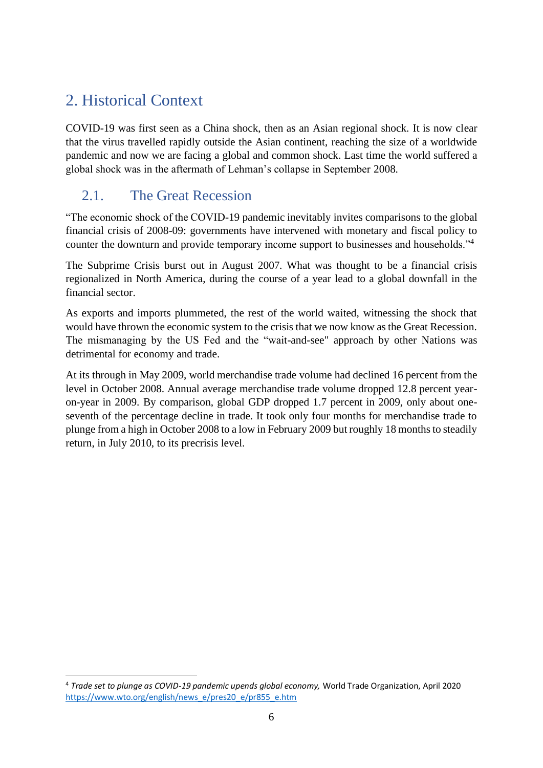# <span id="page-5-0"></span>2. Historical Context

COVID-19 was first seen as a China shock, then as an Asian regional shock. It is now clear that the virus travelled rapidly outside the Asian continent, reaching the size of a worldwide pandemic and now we are facing a global and common shock. Last time the world suffered a global shock was in the aftermath of Lehman's collapse in September 2008.

### <span id="page-5-1"></span>2.1. The Great Recession

"The economic shock of the COVID-19 pandemic inevitably invites comparisons to the global financial crisis of 2008-09: governments have intervened with monetary and fiscal policy to counter the downturn and provide temporary income support to businesses and households."<sup>4</sup>

The Subprime Crisis burst out in August 2007. What was thought to be a financial crisis regionalized in North America, during the course of a year lead to a global downfall in the financial sector.

As exports and imports plummeted, the rest of the world waited, witnessing the shock that would have thrown the economic system to the crisis that we now know as the Great Recession. The mismanaging by the US Fed and the "wait-and-see" approach by other Nations was detrimental for economy and trade.

At its through in May 2009, world merchandise trade volume had declined 16 percent from the level in October 2008. Annual average merchandise trade volume dropped 12.8 percent yearon-year in 2009. By comparison, global GDP dropped 1.7 percent in 2009, only about oneseventh of the percentage decline in trade. It took only four months for merchandise trade to plunge from a high in October 2008 to a low in February 2009 but roughly 18 months to steadily return, in July 2010, to its precrisis level.

<sup>4</sup> *Trade set to plunge as COVID-19 pandemic upends global economy,* World Trade Organization, April 2020 [https://www.wto.org/english/news\\_e/pres20\\_e/pr855\\_e.htm](https://www.wto.org/english/news_e/pres20_e/pr855_e.htm)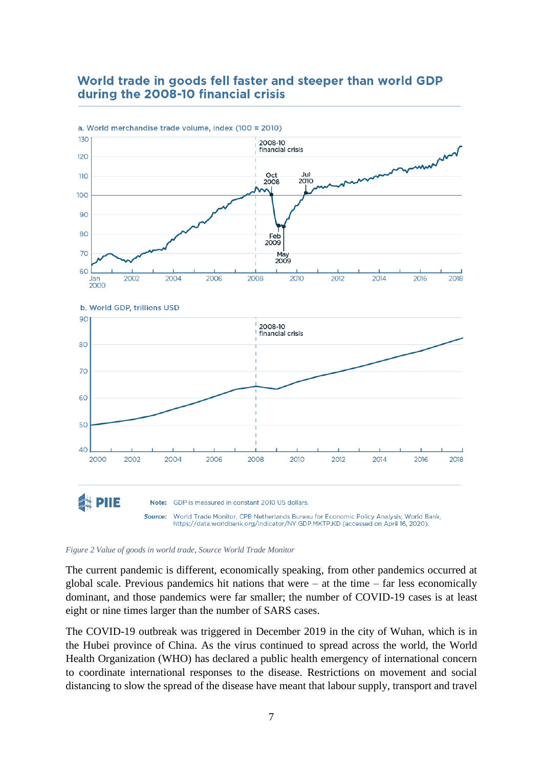### World trade in goods fell faster and steeper than world GDP during the 2008-10 financial crisis



#### *Figure 2 Value of goods in world trade, Source World Trade Monitor*

The current pandemic is different, economically speaking, from other pandemics occurred at global scale. Previous pandemics hit nations that were – at the time – far less economically dominant, and those pandemics were far smaller; the number of COVID-19 cases is at least eight or nine times larger than the number of SARS cases.

The COVID-19 outbreak was triggered in December 2019 in the city of Wuhan, which is in the Hubei province of China. As the virus continued to spread across the world, the World Health Organization (WHO) has declared a public health emergency of international concern to coordinate international responses to the disease. Restrictions on movement and social distancing to slow the spread of the disease have meant that labour supply, transport and travel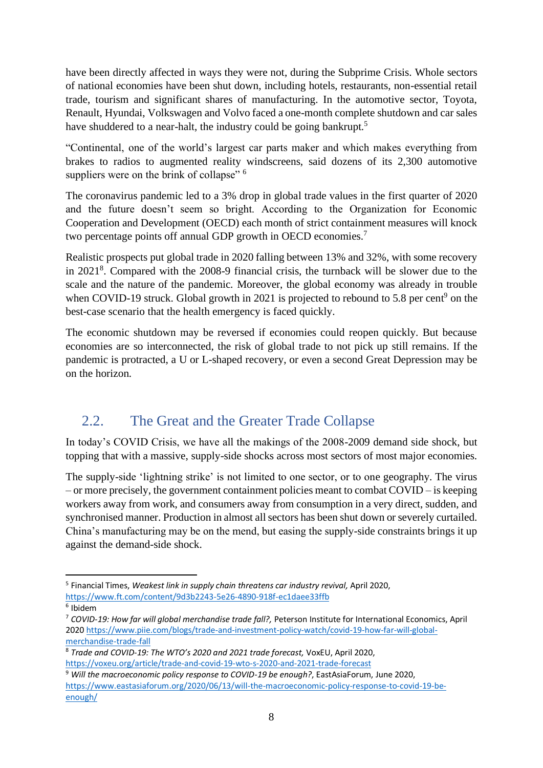have been directly affected in ways they were not, during the Subprime Crisis. Whole sectors of national economies have been shut down, including hotels, restaurants, non-essential retail trade, tourism and significant shares of manufacturing. In the automotive sector, Toyota, Renault, Hyundai, Volkswagen and Volvo faced a one-month complete shutdown and car sales have shuddered to a near-halt, the industry could be going bankrupt.<sup>5</sup>

"Continental, one of the world's largest car parts maker and which makes everything from brakes to radios to augmented reality windscreens, said dozens of its 2,300 automotive suppliers were on the brink of collapse"<sup>6</sup>

The coronavirus pandemic led to a 3% drop in global trade values in the first quarter of 2020 and the future doesn't seem so bright. According to the Organization for Economic Cooperation and Development (OECD) each month of strict containment measures will knock two percentage points off annual GDP growth in OECD economies.<sup>7</sup>

Realistic prospects put global trade in 2020 falling between 13% and 32%, with some recovery in 2021<sup>8</sup> . Compared with the 2008-9 financial crisis, the turnback will be slower due to the scale and the nature of the pandemic. Moreover, the global economy was already in trouble when COVID-19 struck. Global growth in 2021 is projected to rebound to 5.8 per cent<sup>9</sup> on the best-case scenario that the health emergency is faced quickly.

The economic shutdown may be reversed if economies could reopen quickly. But because economies are so interconnected, the risk of global trade to not pick up still remains. If the pandemic is protracted, a U or L-shaped recovery, or even a second Great Depression may be on the horizon.

### <span id="page-7-0"></span>2.2. The Great and the Greater Trade Collapse

In today's COVID Crisis, we have all the makings of the 2008-2009 demand side shock, but topping that with a massive, supply-side shocks across most sectors of most major economies.

The supply-side 'lightning strike' is not limited to one sector, or to one geography. The virus – or more precisely, the government containment policies meant to combat COVID – is keeping workers away from work, and consumers away from consumption in a very direct, sudden, and synchronised manner. Production in almost all sectors has been shut down or severely curtailed. China's manufacturing may be on the mend, but easing the supply-side constraints brings it up against the demand-side shock.

<sup>5</sup> Financial Times, *Weakest link in supply chain threatens car industry revival,* April 2020, <https://www.ft.com/content/9d3b2243-5e26-4890-918f-ec1daee33ffb>

<sup>6</sup> Ibidem

<sup>7</sup> *COVID-19: How far will global merchandise trade fall?,* Peterson Institute for International Economics, April 202[0 https://www.piie.com/blogs/trade-and-investment-policy-watch/covid-19-how-far-will-global](https://www.piie.com/blogs/trade-and-investment-policy-watch/covid-19-how-far-will-global-merchandise-trade-fall)[merchandise-trade-fall](https://www.piie.com/blogs/trade-and-investment-policy-watch/covid-19-how-far-will-global-merchandise-trade-fall)

<sup>8</sup> *Trade and COVID-19: The WTO's 2020 and 2021 trade forecast,* VoxEU, April 2020, <https://voxeu.org/article/trade-and-covid-19-wto-s-2020-and-2021-trade-forecast>

<sup>9</sup> *Will the macroeconomic policy response to COVID-19 be enough?*, EastAsiaForum, June 2020, [https://www.eastasiaforum.org/2020/06/13/will-the-macroeconomic-policy-response-to-covid-19-be](https://www.eastasiaforum.org/2020/06/13/will-the-macroeconomic-policy-response-to-covid-19-be-enough/)[enough/](https://www.eastasiaforum.org/2020/06/13/will-the-macroeconomic-policy-response-to-covid-19-be-enough/)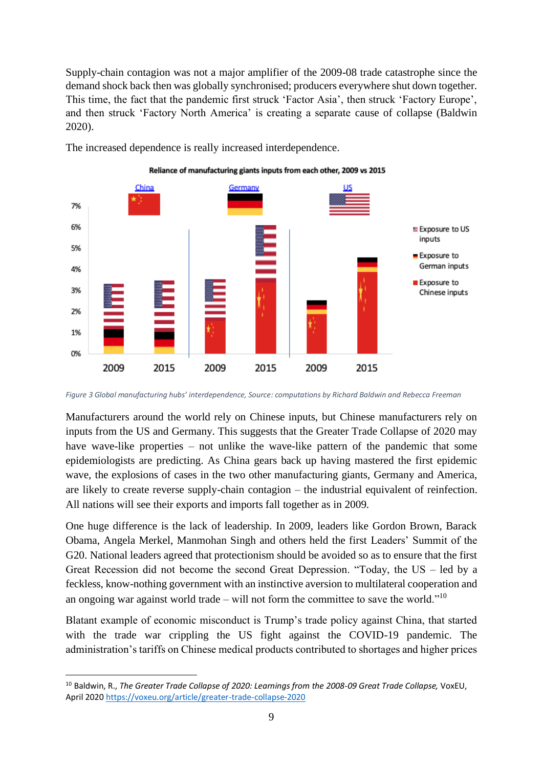Supply-chain contagion was not a major amplifier of the 2009-08 trade catastrophe since the demand shock back then was globally synchronised; producers everywhere shut down together. This time, the fact that the pandemic first struck 'Factor Asia', then struck 'Factory Europe', and then struck 'Factory North America' is creating a separate cause of collapse (Baldwin 2020).

The increased dependence is really increased interdependence.



Reliance of manufacturing giants inputs from each other, 2009 vs 2015

*Figure 3 Global manufacturing hubs' interdependence, Source: computations by Richard Baldwin and Rebecca Freeman*

Manufacturers around the world rely on Chinese inputs, but Chinese manufacturers rely on inputs from the US and Germany. This suggests that the Greater Trade Collapse of 2020 may have wave-like properties – not unlike the wave-like pattern of the pandemic that some epidemiologists are predicting. As China gears back up having mastered the first epidemic wave, the explosions of cases in the two other manufacturing giants, Germany and America, are likely to create reverse supply-chain contagion – the industrial equivalent of reinfection. All nations will see their exports and imports fall together as in 2009.

One huge difference is the lack of leadership. In 2009, leaders like Gordon Brown, Barack Obama, Angela Merkel, Manmohan Singh and others held the first Leaders' Summit of the G20. National leaders agreed that protectionism should be avoided so as to ensure that the first Great Recession did not become the second Great Depression. "Today, the US – led by a feckless, know-nothing government with an instinctive aversion to multilateral cooperation and an ongoing war against world trade – will not form the committee to save the world." $10$ 

Blatant example of economic misconduct is Trump's trade policy against China, that started with the trade war crippling the US fight against the COVID-19 pandemic. The administration's tariffs on Chinese medical products contributed to shortages and higher prices

<sup>10</sup> Baldwin, R., *The Greater Trade Collapse of 2020: Learnings from the 2008-09 Great Trade Collapse,* VoxEU, April 2020 <https://voxeu.org/article/greater-trade-collapse-2020>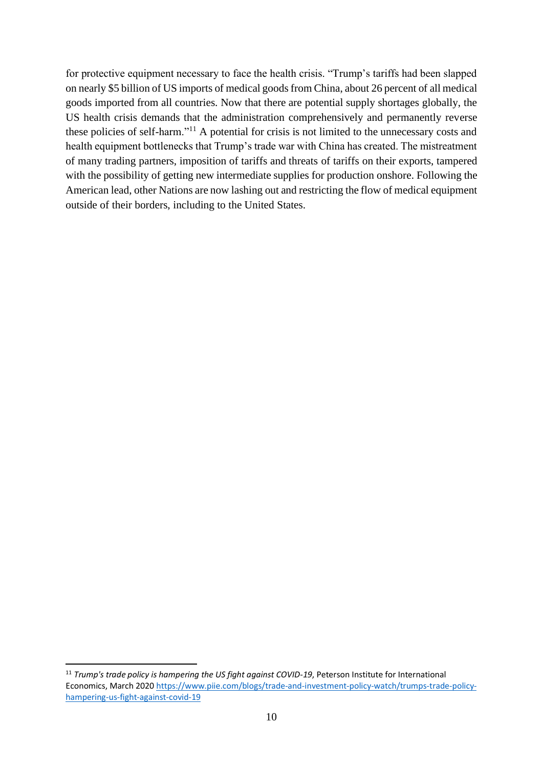for protective equipment necessary to face the health crisis. "Trump's tariffs had been slapped on nearly \$5 billion of US imports of medical goods from China, about 26 percent of all medical goods imported from all countries. Now that there are potential supply shortages globally, the US health crisis demands that the administration comprehensively and permanently reverse these policies of self-harm."<sup>11</sup> A potential for crisis is not limited to the unnecessary costs and health equipment bottlenecks that Trump's trade war with China has created. The mistreatment of many trading partners, imposition of tariffs and threats of tariffs on their exports, tampered with the possibility of getting new intermediate supplies for production onshore. Following the American lead, other Nations are now lashing out and restricting the flow of medical equipment outside of their borders, including to the United States.

<sup>11</sup> *Trump's trade policy is hampering the US fight against COVID-19*, Peterson Institute for International Economics, March 202[0 https://www.piie.com/blogs/trade-and-investment-policy-watch/trumps-trade-policy](https://www.piie.com/blogs/trade-and-investment-policy-watch/trumps-trade-policy-hampering-us-fight-against-covid-19)[hampering-us-fight-against-covid-19](https://www.piie.com/blogs/trade-and-investment-policy-watch/trumps-trade-policy-hampering-us-fight-against-covid-19)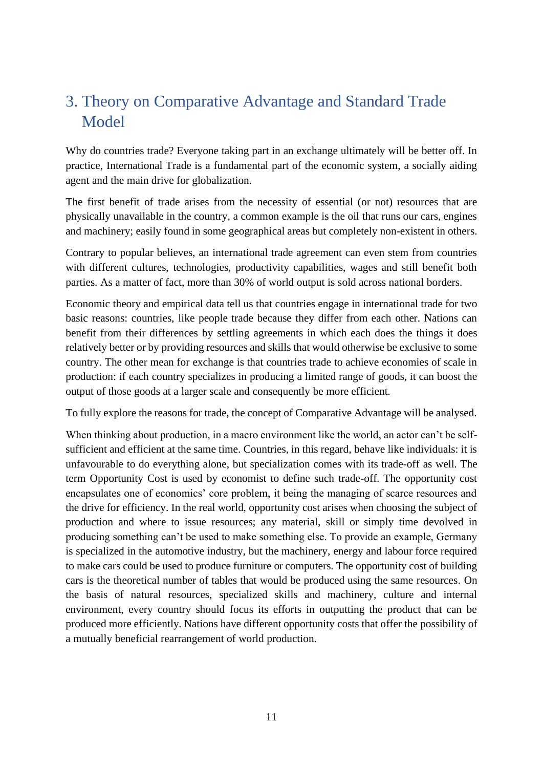# <span id="page-10-0"></span>3. Theory on Comparative Advantage and Standard Trade Model

Why do countries trade? Everyone taking part in an exchange ultimately will be better off. In practice, International Trade is a fundamental part of the economic system, a socially aiding agent and the main drive for globalization.

The first benefit of trade arises from the necessity of essential (or not) resources that are physically unavailable in the country, a common example is the oil that runs our cars, engines and machinery; easily found in some geographical areas but completely non-existent in others.

Contrary to popular believes, an international trade agreement can even stem from countries with different cultures, technologies, productivity capabilities, wages and still benefit both parties. As a matter of fact, more than 30% of world output is sold across national borders.

Economic theory and empirical data tell us that countries engage in international trade for two basic reasons: countries, like people trade because they differ from each other. Nations can benefit from their differences by settling agreements in which each does the things it does relatively better or by providing resources and skills that would otherwise be exclusive to some country. The other mean for exchange is that countries trade to achieve economies of scale in production: if each country specializes in producing a limited range of goods, it can boost the output of those goods at a larger scale and consequently be more efficient.

To fully explore the reasons for trade, the concept of Comparative Advantage will be analysed.

When thinking about production, in a macro environment like the world, an actor can't be selfsufficient and efficient at the same time. Countries, in this regard, behave like individuals: it is unfavourable to do everything alone, but specialization comes with its trade-off as well. The term Opportunity Cost is used by economist to define such trade-off. The opportunity cost encapsulates one of economics' core problem, it being the managing of scarce resources and the drive for efficiency. In the real world, opportunity cost arises when choosing the subject of production and where to issue resources; any material, skill or simply time devolved in producing something can't be used to make something else. To provide an example, Germany is specialized in the automotive industry, but the machinery, energy and labour force required to make cars could be used to produce furniture or computers. The opportunity cost of building cars is the theoretical number of tables that would be produced using the same resources. On the basis of natural resources, specialized skills and machinery, culture and internal environment, every country should focus its efforts in outputting the product that can be produced more efficiently. Nations have different opportunity costs that offer the possibility of a mutually beneficial rearrangement of world production.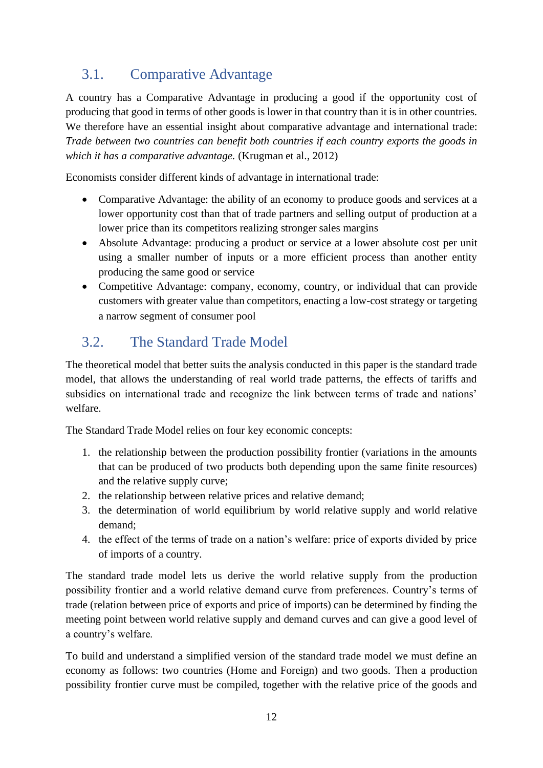### <span id="page-11-0"></span>3.1. Comparative Advantage

A country has a Comparative Advantage in producing a good if the opportunity cost of producing that good in terms of other goods is lower in that country than it is in other countries. We therefore have an essential insight about comparative advantage and international trade: *Trade between two countries can benefit both countries if each country exports the goods in which it has a comparative advantage.* (Krugman et al., 2012)

Economists consider different kinds of advantage in international trade:

- Comparative Advantage: the ability of an economy to produce goods and services at a lower opportunity cost than that of trade partners and selling output of production at a lower price than its competitors realizing stronger sales margins
- Absolute Advantage: producing a product or service at a lower absolute cost per unit using a smaller number of inputs or a more efficient process than another entity producing the same good or service
- Competitive Advantage: company, economy, country, or individual that can provide customers with greater value than competitors, enacting a low-cost strategy or targeting a narrow segment of consumer pool

### <span id="page-11-1"></span>3.2. The Standard Trade Model

The theoretical model that better suits the analysis conducted in this paper is the standard trade model, that allows the understanding of real world trade patterns, the effects of tariffs and subsidies on international trade and recognize the link between terms of trade and nations' welfare.

The Standard Trade Model relies on four key economic concepts:

- 1. the relationship between the production possibility frontier (variations in the amounts that can be produced of two products both depending upon the same finite resources) and the relative supply curve;
- 2. the relationship between relative prices and relative demand;
- 3. the determination of world equilibrium by world relative supply and world relative demand;
- 4. the effect of the terms of trade on a nation's welfare: price of exports divided by price of imports of a country.

The standard trade model lets us derive the world relative supply from the production possibility frontier and a world relative demand curve from preferences. Country's terms of trade (relation between price of exports and price of imports) can be determined by finding the meeting point between world relative supply and demand curves and can give a good level of a country's welfare.

To build and understand a simplified version of the standard trade model we must define an economy as follows: two countries (Home and Foreign) and two goods. Then a production possibility frontier curve must be compiled, together with the relative price of the goods and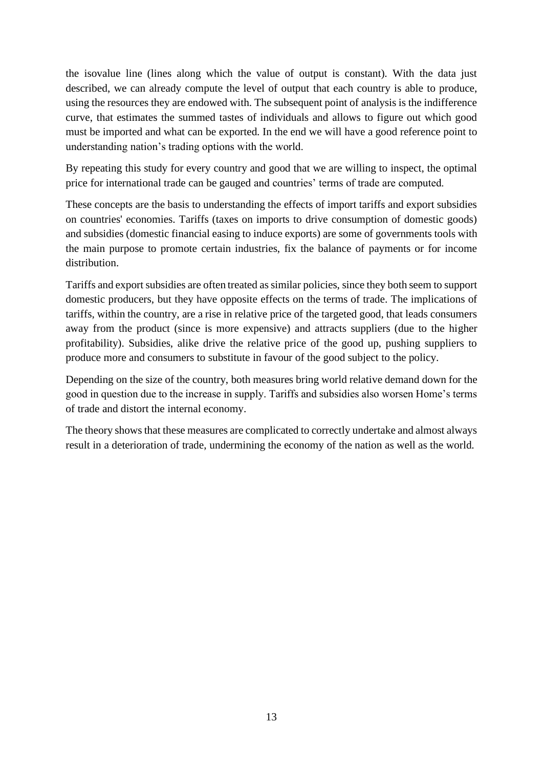the isovalue line (lines along which the value of output is constant). With the data just described, we can already compute the level of output that each country is able to produce, using the resources they are endowed with. The subsequent point of analysis is the indifference curve, that estimates the summed tastes of individuals and allows to figure out which good must be imported and what can be exported. In the end we will have a good reference point to understanding nation's trading options with the world.

By repeating this study for every country and good that we are willing to inspect, the optimal price for international trade can be gauged and countries' terms of trade are computed.

These concepts are the basis to understanding the effects of import tariffs and export subsidies on countries' economies. Tariffs (taxes on imports to drive consumption of domestic goods) and subsidies (domestic financial easing to induce exports) are some of governments tools with the main purpose to promote certain industries, fix the balance of payments or for income distribution.

Tariffs and export subsidies are often treated as similar policies, since they both seem to support domestic producers, but they have opposite effects on the terms of trade. The implications of tariffs, within the country, are a rise in relative price of the targeted good, that leads consumers away from the product (since is more expensive) and attracts suppliers (due to the higher profitability). Subsidies, alike drive the relative price of the good up, pushing suppliers to produce more and consumers to substitute in favour of the good subject to the policy.

Depending on the size of the country, both measures bring world relative demand down for the good in question due to the increase in supply. Tariffs and subsidies also worsen Home's terms of trade and distort the internal economy.

The theory shows that these measures are complicated to correctly undertake and almost always result in a deterioration of trade, undermining the economy of the nation as well as the world.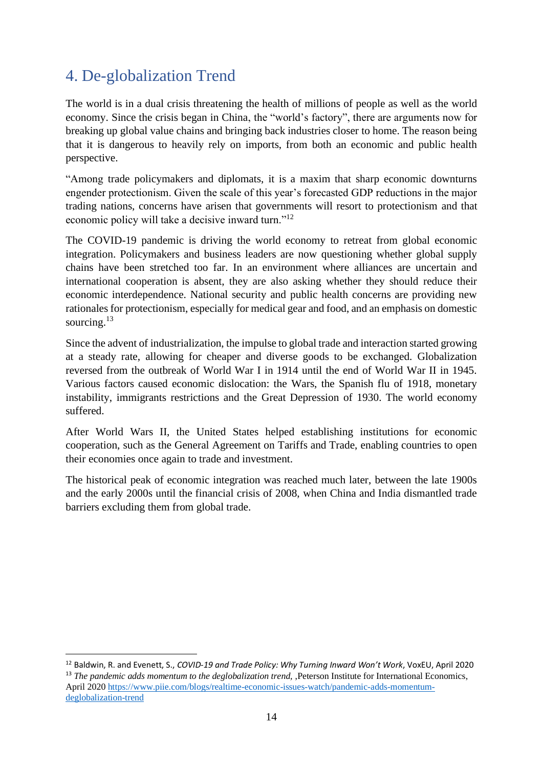### <span id="page-13-0"></span>4. De-globalization Trend

The world is in a dual crisis threatening the health of millions of people as well as the world economy. Since the crisis began in China, the "world's factory", there are arguments now for breaking up global value chains and bringing back industries closer to home. The reason being that it is dangerous to heavily rely on imports, from both an economic and public health perspective.

"Among trade policymakers and diplomats, it is a maxim that sharp economic downturns engender protectionism. Given the scale of this year's forecasted GDP reductions in the major trading nations, concerns have arisen that governments will resort to protectionism and that economic policy will take a decisive inward turn."<sup>12</sup>

The COVID-19 pandemic is driving the world economy to retreat from global economic integration. Policymakers and business leaders are now questioning whether global supply chains have been stretched too far. In an environment where alliances are uncertain and international cooperation is absent, they are also asking whether they should reduce their economic interdependence. National security and public health concerns are providing new rationales for protectionism, especially for medical gear and food, and an emphasis on domestic sourcing.<sup>13</sup>

Since the advent of industrialization, the impulse to global trade and interaction started growing at a steady rate, allowing for cheaper and diverse goods to be exchanged. Globalization reversed from the outbreak of World War I in 1914 until the end of World War II in 1945. Various factors caused economic dislocation: the Wars, the Spanish flu of 1918, monetary instability, immigrants restrictions and the Great Depression of 1930. The world economy suffered.

After World Wars II, the United States helped establishing institutions for economic cooperation, such as the General Agreement on Tariffs and Trade, enabling countries to open their economies once again to trade and investment.

The historical peak of economic integration was reached much later, between the late 1900s and the early 2000s until the financial crisis of 2008, when China and India dismantled trade barriers excluding them from global trade.

<sup>12</sup> Baldwin, R. and Evenett, S., *COVID-19 and Trade Policy: Why Turning Inward Won't Work*, VoxEU, April 2020 <sup>13</sup> *The pandemic adds momentum to the deglobalization trend,* , Peterson Institute for International Economics, April 2020 [https://www.piie.com/blogs/realtime-economic-issues-watch/pandemic-adds-momentum](https://www.piie.com/blogs/realtime-economic-issues-watch/pandemic-adds-momentum-deglobalization-trend)[deglobalization-trend](https://www.piie.com/blogs/realtime-economic-issues-watch/pandemic-adds-momentum-deglobalization-trend)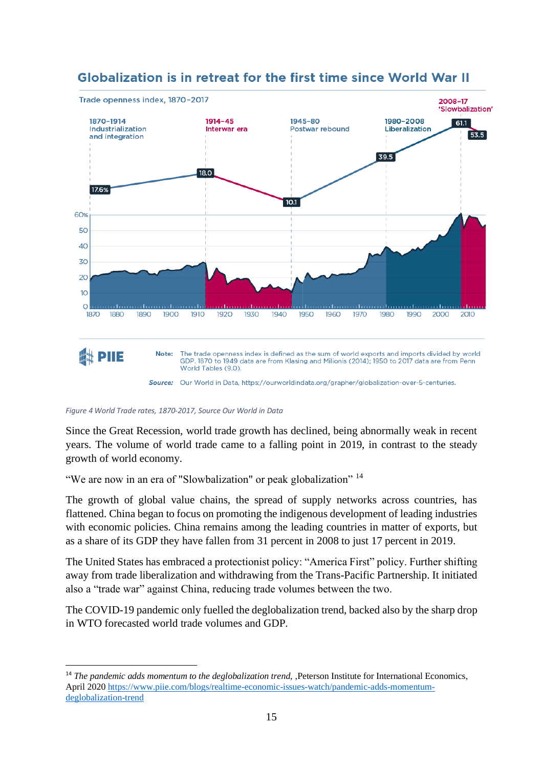

### **Globalization is in retreat for the first time since World War II**

*Figure 4 World Trade rates, 1870-2017, Source Our World in Data*

Since the Great Recession, world trade growth has declined, being abnormally weak in recent years. The volume of world trade came to a falling point in 2019, in contrast to the steady growth of world economy.

"We are now in an era of "Slowbalization" or peak globalization" <sup>14</sup>

The growth of global value chains, the spread of supply networks across countries, has flattened. China began to focus on promoting the indigenous development of leading industries with economic policies. China remains among the leading countries in matter of exports, but as a share of its GDP they have fallen from 31 percent in 2008 to just 17 percent in 2019.

The United States has embraced a protectionist policy: "America First" policy. Further shifting away from trade liberalization and withdrawing from the Trans-Pacific Partnership. It initiated also a "trade war" against China, reducing trade volumes between the two.

The COVID-19 pandemic only fuelled the deglobalization trend, backed also by the sharp drop in WTO forecasted world trade volumes and GDP.

<sup>&</sup>lt;sup>14</sup> *The pandemic adds momentum to the deglobalization trend*, *Deterson Institute for International Economics*, April 2020 [https://www.piie.com/blogs/realtime-economic-issues-watch/pandemic-adds-momentum](https://www.piie.com/blogs/realtime-economic-issues-watch/pandemic-adds-momentum-deglobalization-trend)[deglobalization-trend](https://www.piie.com/blogs/realtime-economic-issues-watch/pandemic-adds-momentum-deglobalization-trend)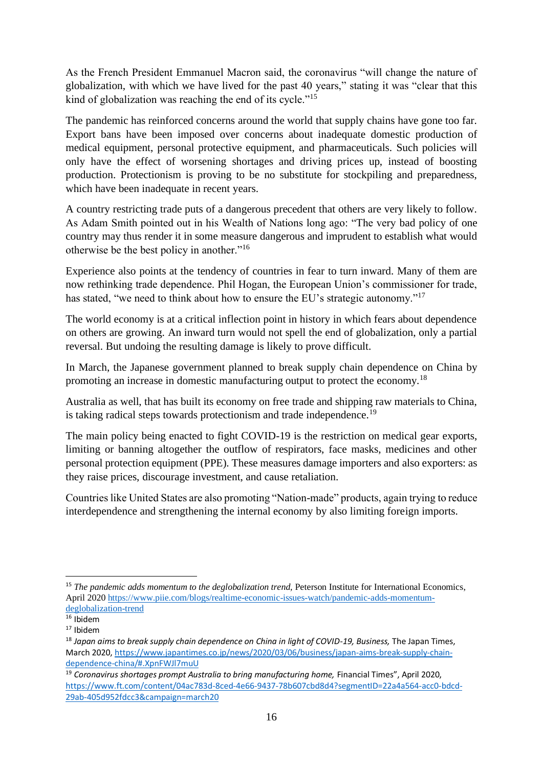As the French President Emmanuel Macron said, the coronavirus "will change the nature of globalization, with which we have lived for the past 40 years," stating it was "clear that this kind of globalization was reaching the end of its cycle."<sup>15</sup>

The pandemic has reinforced concerns around the world that supply chains have gone too far. Export bans have been imposed over concerns about inadequate domestic production of medical equipment, personal protective equipment, and pharmaceuticals. Such policies will only have the effect of worsening shortages and driving prices up, instead of boosting production. Protectionism is proving to be no substitute for stockpiling and preparedness, which have been inadequate in recent years.

A country restricting trade puts of a dangerous precedent that others are very likely to follow. As Adam Smith pointed out in his Wealth of Nations long ago: "The very bad policy of one country may thus render it in some measure dangerous and imprudent to establish what would otherwise be the best policy in another."<sup>16</sup>

Experience also points at the tendency of countries in fear to turn inward. Many of them are now rethinking trade dependence. Phil Hogan, the European Union's commissioner for trade, has stated, "we need to think about how to ensure the EU's strategic autonomy."<sup>17</sup>

The world economy is at a critical inflection point in history in which fears about dependence on others are growing. An inward turn would not spell the end of globalization, only a partial reversal. But undoing the resulting damage is likely to prove difficult.

In March, the Japanese government planned to break supply chain dependence on China by promoting an increase in domestic manufacturing output to protect the economy.<sup>18</sup>

Australia as well, that has built its economy on free trade and shipping raw materials to China, is taking radical steps towards protectionism and trade independence.<sup>19</sup>

The main policy being enacted to fight COVID-19 is the restriction on medical gear exports, limiting or banning altogether the outflow of respirators, face masks, medicines and other personal protection equipment (PPE). These measures damage importers and also exporters: as they raise prices, discourage investment, and cause retaliation.

Countries like United States are also promoting "Nation-made" products, again trying to reduce interdependence and strengthening the internal economy by also limiting foreign imports.

<sup>&</sup>lt;sup>15</sup> *The pandemic adds momentum to the deglobalization trend*, Peterson Institute for International Economics, April 2020 [https://www.piie.com/blogs/realtime-economic-issues-watch/pandemic-adds-momentum](https://www.piie.com/blogs/realtime-economic-issues-watch/pandemic-adds-momentum-deglobalization-trend)[deglobalization-trend](https://www.piie.com/blogs/realtime-economic-issues-watch/pandemic-adds-momentum-deglobalization-trend)

 $16$  Ibidem

<sup>17</sup> Ibidem

<sup>&</sup>lt;sup>18</sup> Japan aims to break supply chain dependence on China in light of COVID-19, Business, The Japan Times, March 2020[, https://www.japantimes.co.jp/news/2020/03/06/business/japan-aims-break-supply-chain](https://www.japantimes.co.jp/news/2020/03/06/business/japan-aims-break-supply-chain-dependence-china/%23.XpnFWJl7muU)[dependence-china/#.XpnFWJl7muU](https://www.japantimes.co.jp/news/2020/03/06/business/japan-aims-break-supply-chain-dependence-china/%23.XpnFWJl7muU)

<sup>&</sup>lt;sup>19</sup> Coronavirus shortages prompt Australia to bring manufacturing home, Financial Times", April 2020, [https://www.ft.com/content/04ac783d-8ced-4e66-9437-78b607cbd8d4?segmentID=22a4a564-acc0-bdcd-](https://www.ft.com/content/04ac783d-8ced-4e66-9437-78b607cbd8d4?segmentID=22a4a564-acc0-bdcd-29ab-405d952fdcc3&campaign=march20)[29ab-405d952fdcc3&campaign=march20](https://www.ft.com/content/04ac783d-8ced-4e66-9437-78b607cbd8d4?segmentID=22a4a564-acc0-bdcd-29ab-405d952fdcc3&campaign=march20)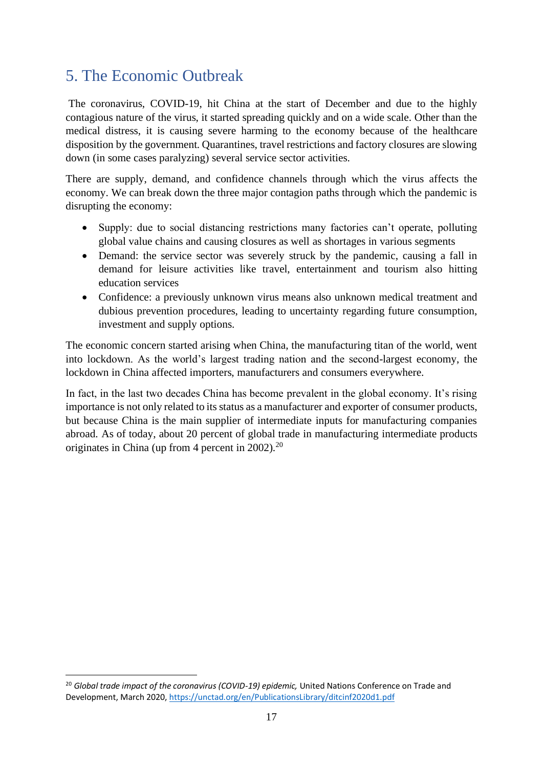# <span id="page-16-0"></span>5. The Economic Outbreak

The coronavirus, COVID-19, hit China at the start of December and due to the highly contagious nature of the virus, it started spreading quickly and on a wide scale. Other than the medical distress, it is causing severe harming to the economy because of the healthcare disposition by the government. Quarantines, travel restrictions and factory closures are slowing down (in some cases paralyzing) several service sector activities.

There are supply, demand, and confidence channels through which the virus affects the economy. We can break down the three major contagion paths through which the pandemic is disrupting the economy:

- Supply: due to social distancing restrictions many factories can't operate, polluting global value chains and causing closures as well as shortages in various segments
- Demand: the service sector was severely struck by the pandemic, causing a fall in demand for leisure activities like travel, entertainment and tourism also hitting education services
- Confidence: a previously unknown virus means also unknown medical treatment and dubious prevention procedures, leading to uncertainty regarding future consumption, investment and supply options.

The economic concern started arising when China, the manufacturing titan of the world, went into lockdown. As the world's largest trading nation and the second-largest economy, the lockdown in China affected importers, manufacturers and consumers everywhere.

In fact, in the last two decades China has become prevalent in the global economy. It's rising importance is not only related to its status as a manufacturer and exporter of consumer products, but because China is the main supplier of intermediate inputs for manufacturing companies abroad. As of today, about 20 percent of global trade in manufacturing intermediate products originates in China (up from 4 percent in 2002). $^{20}$ 

<sup>20</sup> *Global trade impact of the coronavirus (COVID-19) epidemic,* United Nations Conference on Trade and Development, March 2020[, https://unctad.org/en/PublicationsLibrary/ditcinf2020d1.pdf](https://unctad.org/en/PublicationsLibrary/ditcinf2020d1.pdf)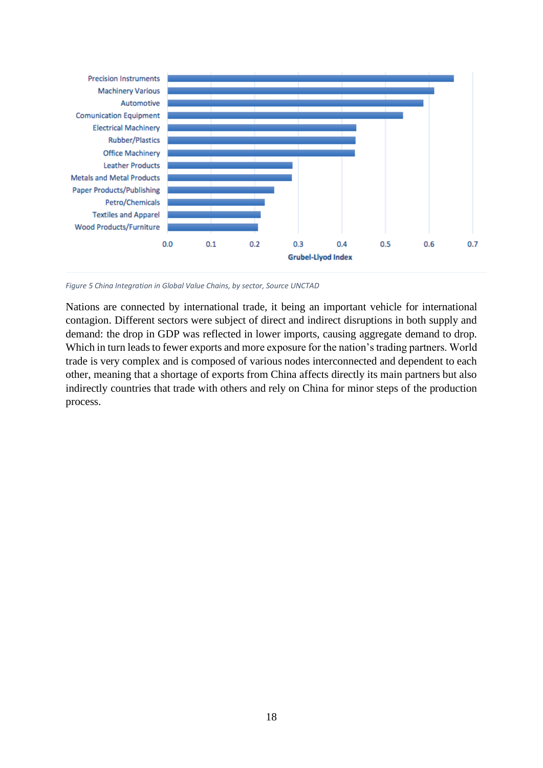

*Figure 5 China Integration in Global Value Chains, by sector, Source UNCTAD*

Nations are connected by international trade, it being an important vehicle for international contagion. Different sectors were subject of direct and indirect disruptions in both supply and demand: the drop in GDP was reflected in lower imports, causing aggregate demand to drop. Which in turn leads to fewer exports and more exposure for the nation's trading partners. World trade is very complex and is composed of various nodes interconnected and dependent to each other, meaning that a shortage of exports from China affects directly its main partners but also indirectly countries that trade with others and rely on China for minor steps of the production process.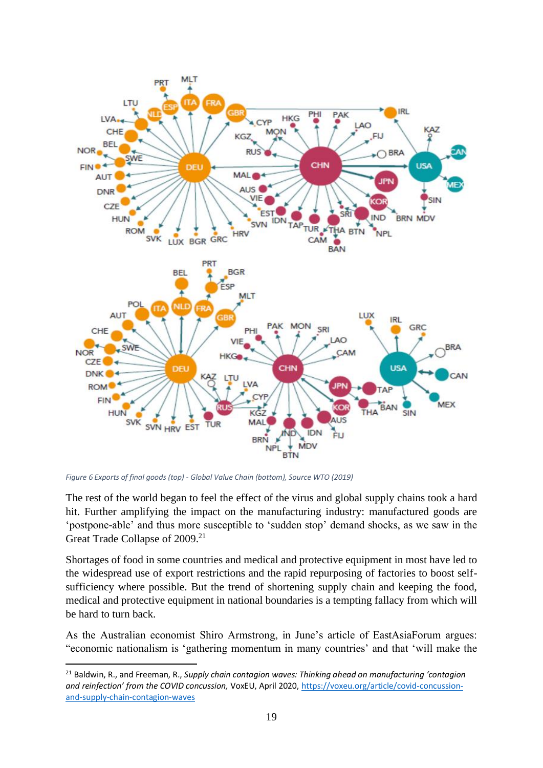

*Figure 6 Exports of final goods (top) - Global Value Chain (bottom), Source WTO (2019)*

The rest of the world began to feel the effect of the virus and global supply chains took a hard hit. Further amplifying the impact on the manufacturing industry: manufactured goods are 'postpone-able' and thus more susceptible to 'sudden stop' demand shocks, as we saw in the Great Trade Collapse of 2009.<sup>21</sup>

Shortages of food in some countries and medical and protective equipment in most have led to the widespread use of export restrictions and the rapid repurposing of factories to boost selfsufficiency where possible. But the trend of shortening supply chain and keeping the food, medical and protective equipment in national boundaries is a tempting fallacy from which will be hard to turn back.

As the Australian economist Shiro Armstrong, in June's article of EastAsiaForum argues: "economic nationalism is 'gathering momentum in many countries' and that 'will make the

<sup>21</sup> Baldwin, R., and Freeman, R., *Supply chain contagion waves: Thinking ahead on manufacturing 'contagion and reinfection' from the COVID concussion,* VoxEU, April 2020[, https://voxeu.org/article/covid-concussion](https://voxeu.org/article/covid-concussion-and-supply-chain-contagion-waves)[and-supply-chain-contagion-waves](https://voxeu.org/article/covid-concussion-and-supply-chain-contagion-waves)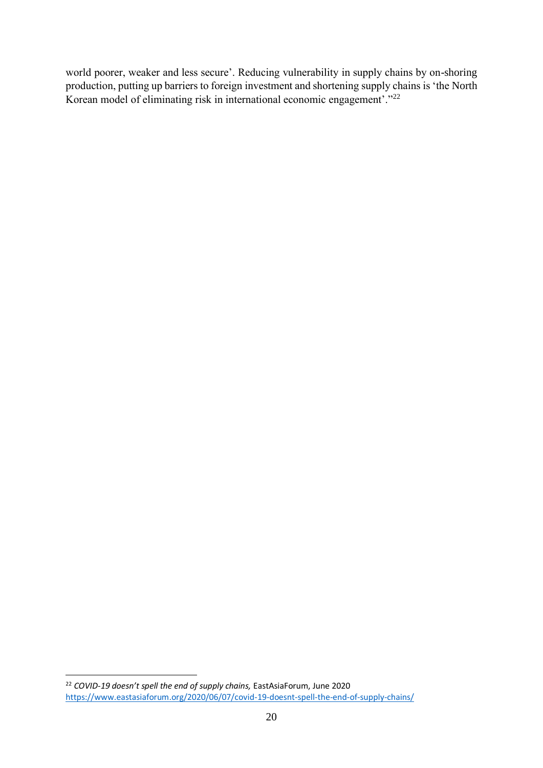world poorer, weaker and less secure'. Reducing vulnerability in supply chains by on-shoring production, putting up barriers to foreign investment and shortening supply chains is 'the North Korean model of eliminating risk in international economic engagement'."<sup>22</sup>

<sup>&</sup>lt;sup>22</sup> *COVID-19 doesn't spell the end of supply chains*, EastAsiaForum, June 2020 <https://www.eastasiaforum.org/2020/06/07/covid-19-doesnt-spell-the-end-of-supply-chains/>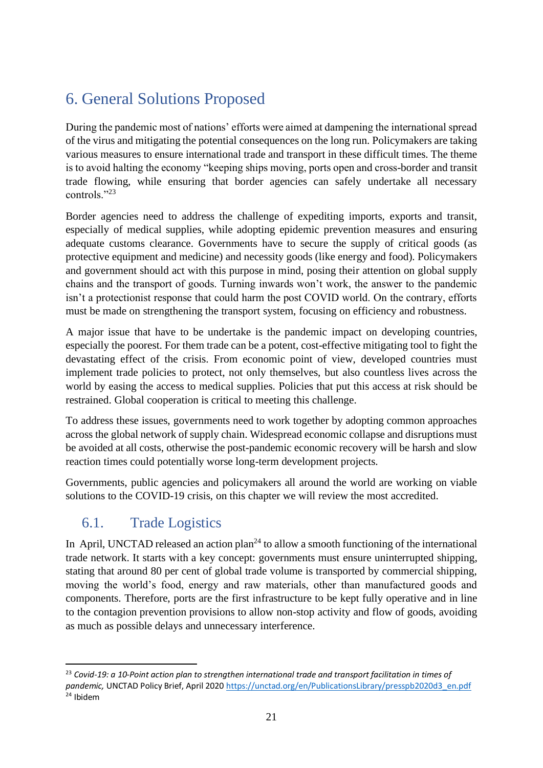# <span id="page-20-0"></span>6. General Solutions Proposed

During the pandemic most of nations' efforts were aimed at dampening the international spread of the virus and mitigating the potential consequences on the long run. Policymakers are taking various measures to ensure international trade and transport in these difficult times. The theme is to avoid halting the economy "keeping ships moving, ports open and cross-border and transit trade flowing, while ensuring that border agencies can safely undertake all necessary controls."<sup>23</sup>

Border agencies need to address the challenge of expediting imports, exports and transit, especially of medical supplies, while adopting epidemic prevention measures and ensuring adequate customs clearance. Governments have to secure the supply of critical goods (as protective equipment and medicine) and necessity goods (like energy and food). Policymakers and government should act with this purpose in mind, posing their attention on global supply chains and the transport of goods. Turning inwards won't work, the answer to the pandemic isn't a protectionist response that could harm the post COVID world. On the contrary, efforts must be made on strengthening the transport system, focusing on efficiency and robustness.

A major issue that have to be undertake is the pandemic impact on developing countries, especially the poorest. For them trade can be a potent, cost-effective mitigating tool to fight the devastating effect of the crisis. From economic point of view, developed countries must implement trade policies to protect, not only themselves, but also countless lives across the world by easing the access to medical supplies. Policies that put this access at risk should be restrained. Global cooperation is critical to meeting this challenge.

To address these issues, governments need to work together by adopting common approaches across the global network of supply chain. Widespread economic collapse and disruptions must be avoided at all costs, otherwise the post-pandemic economic recovery will be harsh and slow reaction times could potentially worse long-term development projects.

Governments, public agencies and policymakers all around the world are working on viable solutions to the COVID-19 crisis, on this chapter we will review the most accredited.

### <span id="page-20-1"></span>6.1. Trade Logistics

In April, UNCTAD released an action plan<sup>24</sup> to allow a smooth functioning of the international trade network. It starts with a key concept: governments must ensure uninterrupted shipping, stating that around 80 per cent of global trade volume is transported by commercial shipping, moving the world's food, energy and raw materials, other than manufactured goods and components. Therefore, ports are the first infrastructure to be kept fully operative and in line to the contagion prevention provisions to allow non-stop activity and flow of goods, avoiding as much as possible delays and unnecessary interference.

<sup>23</sup> *Covid-19: a 10-Point action plan to strengthen international trade and transport facilitation in times of pandemic,* UNCTAD Policy Brief, April 202[0 https://unctad.org/en/PublicationsLibrary/presspb2020d3\\_en.pdf](https://unctad.org/en/PublicationsLibrary/presspb2020d3_en.pdf) <sup>24</sup> Ibidem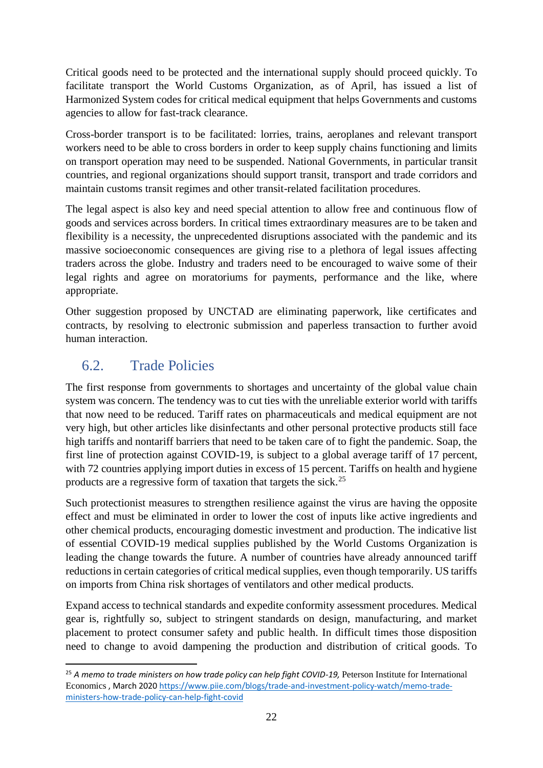Critical goods need to be protected and the international supply should proceed quickly. To facilitate transport the World Customs Organization, as of April, has issued a list of Harmonized System codes for critical medical equipment that helps Governments and customs agencies to allow for fast-track clearance.

Cross-border transport is to be facilitated: lorries, trains, aeroplanes and relevant transport workers need to be able to cross borders in order to keep supply chains functioning and limits on transport operation may need to be suspended. National Governments, in particular transit countries, and regional organizations should support transit, transport and trade corridors and maintain customs transit regimes and other transit-related facilitation procedures.

The legal aspect is also key and need special attention to allow free and continuous flow of goods and services across borders. In critical times extraordinary measures are to be taken and flexibility is a necessity, the unprecedented disruptions associated with the pandemic and its massive socioeconomic consequences are giving rise to a plethora of legal issues affecting traders across the globe. Industry and traders need to be encouraged to waive some of their legal rights and agree on moratoriums for payments, performance and the like, where appropriate.

Other suggestion proposed by UNCTAD are eliminating paperwork, like certificates and contracts, by resolving to electronic submission and paperless transaction to further avoid human interaction.

### <span id="page-21-0"></span>6.2. Trade Policies

The first response from governments to shortages and uncertainty of the global value chain system was concern. The tendency was to cut ties with the unreliable exterior world with tariffs that now need to be reduced. Tariff rates on pharmaceuticals and medical equipment are not very high, but other articles like disinfectants and other personal protective products still face high tariffs and nontariff barriers that need to be taken care of to fight the pandemic. Soap, the first line of protection against COVID-19, is subject to a global average tariff of 17 percent, with 72 countries applying import duties in excess of 15 percent. Tariffs on health and hygiene products are a regressive form of taxation that targets the sick.<sup>25</sup>

Such protectionist measures to strengthen resilience against the virus are having the opposite effect and must be eliminated in order to lower the cost of inputs like active ingredients and other chemical products, encouraging domestic investment and production. The indicative list of essential COVID-19 medical supplies published by the World Customs Organization is leading the change towards the future. A number of countries have already announced tariff reductions in certain categories of critical medical supplies, even though temporarily. US tariffs on imports from China risk shortages of ventilators and other medical products.

Expand access to technical standards and expedite conformity assessment procedures. Medical gear is, rightfully so, subject to stringent standards on design, manufacturing, and market placement to protect consumer safety and public health. In difficult times those disposition need to change to avoid dampening the production and distribution of critical goods. To

<sup>25</sup> *A memo to trade ministers on how trade policy can help fight COVID-19,* Peterson Institute for International Economics , March 202[0 https://www.piie.com/blogs/trade-and-investment-policy-watch/memo-trade](https://www.piie.com/blogs/trade-and-investment-policy-watch/memo-trade-ministers-how-trade-policy-can-help-fight-covid)[ministers-how-trade-policy-can-help-fight-covid](https://www.piie.com/blogs/trade-and-investment-policy-watch/memo-trade-ministers-how-trade-policy-can-help-fight-covid)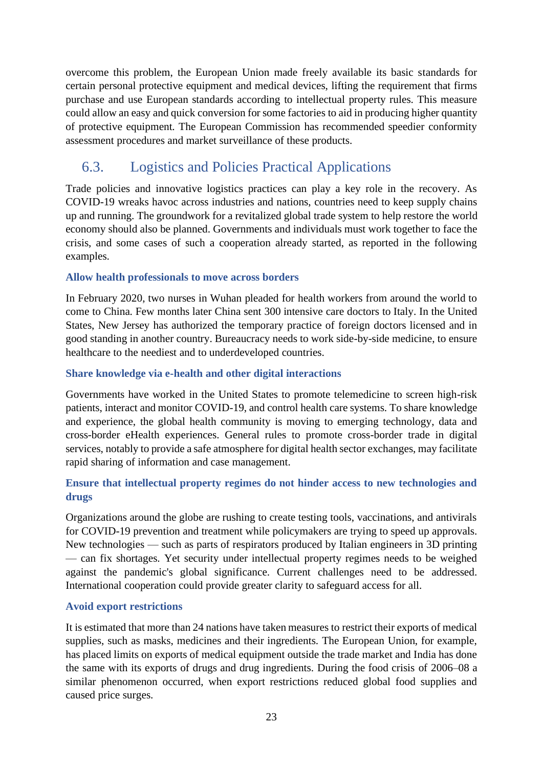overcome this problem, the European Union made freely available its basic standards for certain personal protective equipment and medical devices, lifting the requirement that firms purchase and use European standards according to intellectual property rules. This measure could allow an easy and quick conversion for some factories to aid in producing higher quantity of protective equipment. The European Commission has recommended speedier conformity assessment procedures and market surveillance of these products.

### <span id="page-22-0"></span>6.3. Logistics and Policies Practical Applications

Trade policies and innovative logistics practices can play a key role in the recovery. As COVID-19 wreaks havoc across industries and nations, countries need to keep supply chains up and running. The groundwork for a revitalized global trade system to help restore the world economy should also be planned. Governments and individuals must work together to face the crisis, and some cases of such a cooperation already started, as reported in the following examples.

#### **Allow health professionals to move across borders**

In February 2020, two nurses in Wuhan pleaded for health workers from around the world to come to China. Few months later China sent 300 intensive care doctors to Italy. In the United States, New Jersey has authorized the temporary practice of foreign doctors licensed and in good standing in another country. Bureaucracy needs to work side-by-side medicine, to ensure healthcare to the neediest and to underdeveloped countries.

#### **Share knowledge via e-health and other digital interactions**

Governments have worked in the United States to promote telemedicine to screen high-risk patients, interact and monitor COVID-19, and control health care systems. To share knowledge and experience, the global health community is moving to emerging technology, data and cross-border eHealth experiences. General rules to promote cross-border trade in digital services, notably to provide a safe atmosphere for digital health sector exchanges, may facilitate rapid sharing of information and case management.

### **Ensure that intellectual property regimes do not hinder access to new technologies and drugs**

Organizations around the globe are rushing to create testing tools, vaccinations, and antivirals for COVID-19 prevention and treatment while policymakers are trying to speed up approvals. New technologies — such as parts of respirators produced by Italian engineers in 3D printing — can fix shortages. Yet security under intellectual property regimes needs to be weighed against the pandemic's global significance. Current challenges need to be addressed. International cooperation could provide greater clarity to safeguard access for all.

#### **Avoid export restrictions**

It is estimated that more than 24 nations have taken measures to restrict their exports of medical supplies, such as masks, medicines and their ingredients. The European Union, for example, has placed limits on exports of medical equipment outside the trade market and India has done the same with its exports of drugs and drug ingredients. During the food crisis of 2006–08 a similar phenomenon occurred, when export restrictions reduced global food supplies and caused price surges.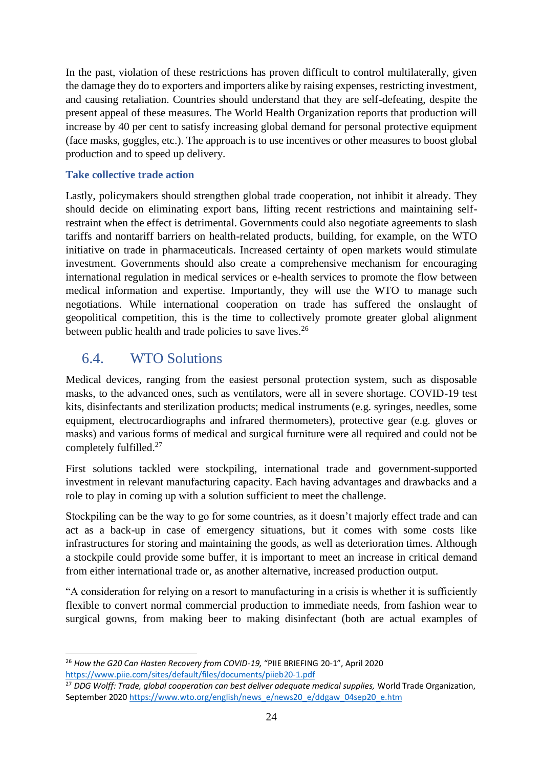In the past, violation of these restrictions has proven difficult to control multilaterally, given the damage they do to exporters and importers alike by raising expenses, restricting investment, and causing retaliation. Countries should understand that they are self-defeating, despite the present appeal of these measures. The World Health Organization reports that production will increase by 40 per cent to satisfy increasing global demand for personal protective equipment (face masks, goggles, etc.). The approach is to use incentives or other measures to boost global production and to speed up delivery.

#### **Take collective trade action**

Lastly, policymakers should strengthen global trade cooperation, not inhibit it already. They should decide on eliminating export bans, lifting recent restrictions and maintaining selfrestraint when the effect is detrimental. Governments could also negotiate agreements to slash tariffs and nontariff barriers on health-related products, building, for example, on the WTO initiative on trade in pharmaceuticals. Increased certainty of open markets would stimulate investment. Governments should also create a comprehensive mechanism for encouraging international regulation in medical services or e-health services to promote the flow between medical information and expertise. Importantly, they will use the WTO to manage such negotiations. While international cooperation on trade has suffered the onslaught of geopolitical competition, this is the time to collectively promote greater global alignment between public health and trade policies to save lives.<sup>26</sup>

### <span id="page-23-0"></span>6.4. WTO Solutions

Medical devices, ranging from the easiest personal protection system, such as disposable masks, to the advanced ones, such as ventilators, were all in severe shortage. COVID-19 test kits, disinfectants and sterilization products; medical instruments (e.g. syringes, needles, some equipment, electrocardiographs and infrared thermometers), protective gear (e.g. gloves or masks) and various forms of medical and surgical furniture were all required and could not be completely fulfilled.<sup>27</sup>

First solutions tackled were stockpiling, international trade and government-supported investment in relevant manufacturing capacity. Each having advantages and drawbacks and a role to play in coming up with a solution sufficient to meet the challenge.

Stockpiling can be the way to go for some countries, as it doesn't majorly effect trade and can act as a back-up in case of emergency situations, but it comes with some costs like infrastructures for storing and maintaining the goods, as well as deterioration times. Although a stockpile could provide some buffer, it is important to meet an increase in critical demand from either international trade or, as another alternative, increased production output.

"A consideration for relying on a resort to manufacturing in a crisis is whether it is sufficiently flexible to convert normal commercial production to immediate needs, from fashion wear to surgical gowns, from making beer to making disinfectant (both are actual examples of

<sup>&</sup>lt;sup>26</sup> How the G20 Can Hasten Recovery from COVID-19, "PIIE BRIEFING 20-1", April 2020 <https://www.piie.com/sites/default/files/documents/piieb20-1.pdf>

<sup>&</sup>lt;sup>27</sup> DDG Wolff: Trade, global cooperation can best deliver adequate medical supplies, World Trade Organization, September 202[0 https://www.wto.org/english/news\\_e/news20\\_e/ddgaw\\_04sep20\\_e.htm](https://www.wto.org/english/news_e/news20_e/ddgaw_04sep20_e.htm)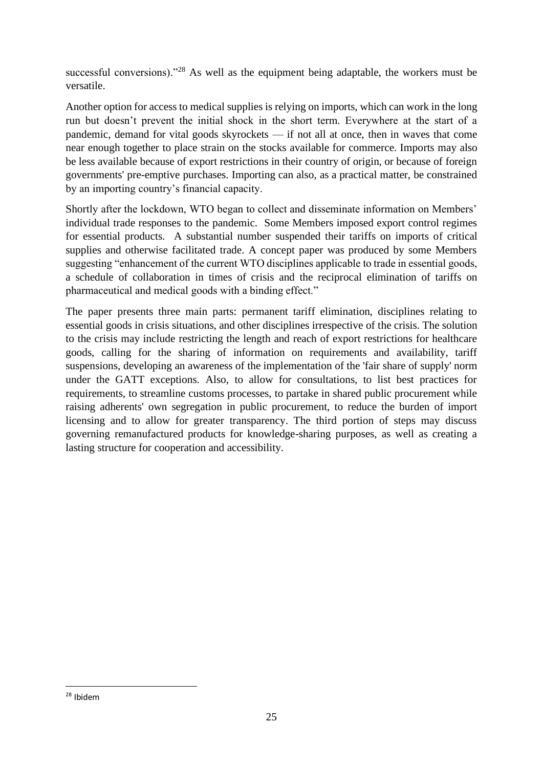successful conversions)."<sup>28</sup> As well as the equipment being adaptable, the workers must be versatile.

Another option for access to medical supplies is relying on imports, which can work in the long run but doesn't prevent the initial shock in the short term. Everywhere at the start of a pandemic, demand for vital goods skyrockets — if not all at once, then in waves that come near enough together to place strain on the stocks available for commerce. Imports may also be less available because of export restrictions in their country of origin, or because of foreign governments' pre-emptive purchases. Importing can also, as a practical matter, be constrained by an importing country's financial capacity.

Shortly after the lockdown, WTO began to collect and disseminate information on Members' individual trade responses to the pandemic. Some Members imposed export control regimes for essential products. A substantial number suspended their tariffs on imports of critical supplies and otherwise facilitated trade. A concept paper was produced by some Members suggesting "enhancement of the current WTO disciplines applicable to trade in essential goods, a schedule of collaboration in times of crisis and the reciprocal elimination of tariffs on pharmaceutical and medical goods with a binding effect."

The paper presents three main parts: permanent tariff elimination, disciplines relating to essential goods in crisis situations, and other disciplines irrespective of the crisis. The solution to the crisis may include restricting the length and reach of export restrictions for healthcare goods, calling for the sharing of information on requirements and availability, tariff suspensions, developing an awareness of the implementation of the 'fair share of supply' norm under the GATT exceptions. Also, to allow for consultations, to list best practices for requirements, to streamline customs processes, to partake in shared public procurement while raising adherents' own segregation in public procurement, to reduce the burden of import licensing and to allow for greater transparency. The third portion of steps may discuss governing remanufactured products for knowledge-sharing purposes, as well as creating a lasting structure for cooperation and accessibility.

<sup>28</sup> Ibidem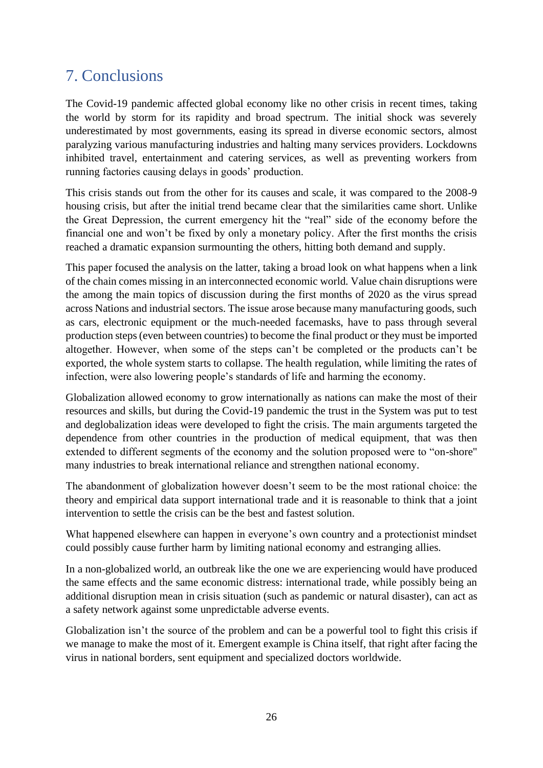### <span id="page-25-0"></span>7. Conclusions

The Covid-19 pandemic affected global economy like no other crisis in recent times, taking the world by storm for its rapidity and broad spectrum. The initial shock was severely underestimated by most governments, easing its spread in diverse economic sectors, almost paralyzing various manufacturing industries and halting many services providers. Lockdowns inhibited travel, entertainment and catering services, as well as preventing workers from running factories causing delays in goods' production.

This crisis stands out from the other for its causes and scale, it was compared to the 2008-9 housing crisis, but after the initial trend became clear that the similarities came short. Unlike the Great Depression, the current emergency hit the "real" side of the economy before the financial one and won't be fixed by only a monetary policy. After the first months the crisis reached a dramatic expansion surmounting the others, hitting both demand and supply.

This paper focused the analysis on the latter, taking a broad look on what happens when a link of the chain comes missing in an interconnected economic world. Value chain disruptions were the among the main topics of discussion during the first months of 2020 as the virus spread across Nations and industrial sectors. The issue arose because many manufacturing goods, such as cars, electronic equipment or the much-needed facemasks, have to pass through several production steps (even between countries) to become the final product or they must be imported altogether. However, when some of the steps can't be completed or the products can't be exported, the whole system starts to collapse. The health regulation, while limiting the rates of infection, were also lowering people's standards of life and harming the economy.

Globalization allowed economy to grow internationally as nations can make the most of their resources and skills, but during the Covid-19 pandemic the trust in the System was put to test and deglobalization ideas were developed to fight the crisis. The main arguments targeted the dependence from other countries in the production of medical equipment, that was then extended to different segments of the economy and the solution proposed were to "on-shore" many industries to break international reliance and strengthen national economy.

The abandonment of globalization however doesn't seem to be the most rational choice: the theory and empirical data support international trade and it is reasonable to think that a joint intervention to settle the crisis can be the best and fastest solution.

What happened elsewhere can happen in everyone's own country and a protectionist mindset could possibly cause further harm by limiting national economy and estranging allies.

In a non-globalized world, an outbreak like the one we are experiencing would have produced the same effects and the same economic distress: international trade, while possibly being an additional disruption mean in crisis situation (such as pandemic or natural disaster), can act as a safety network against some unpredictable adverse events.

Globalization isn't the source of the problem and can be a powerful tool to fight this crisis if we manage to make the most of it. Emergent example is China itself, that right after facing the virus in national borders, sent equipment and specialized doctors worldwide.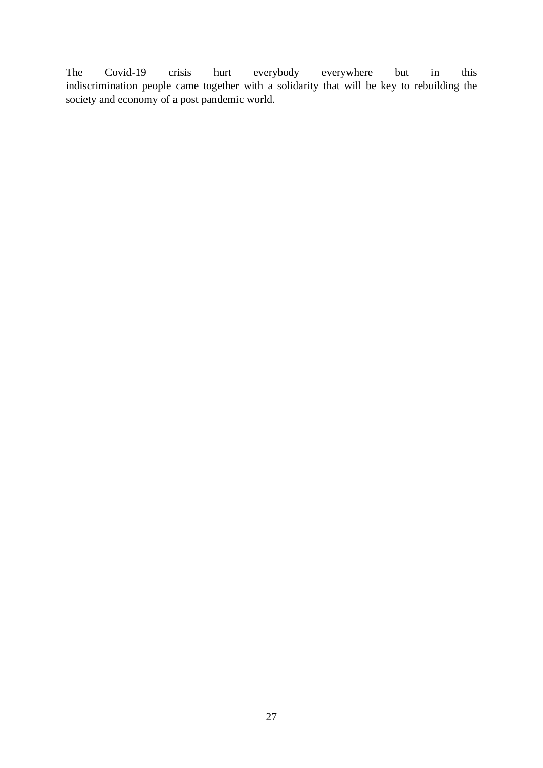The Covid-19 crisis hurt everybody everywhere but in this indiscrimination people came together with a solidarity that will be key to rebuilding the society and economy of a post pandemic world.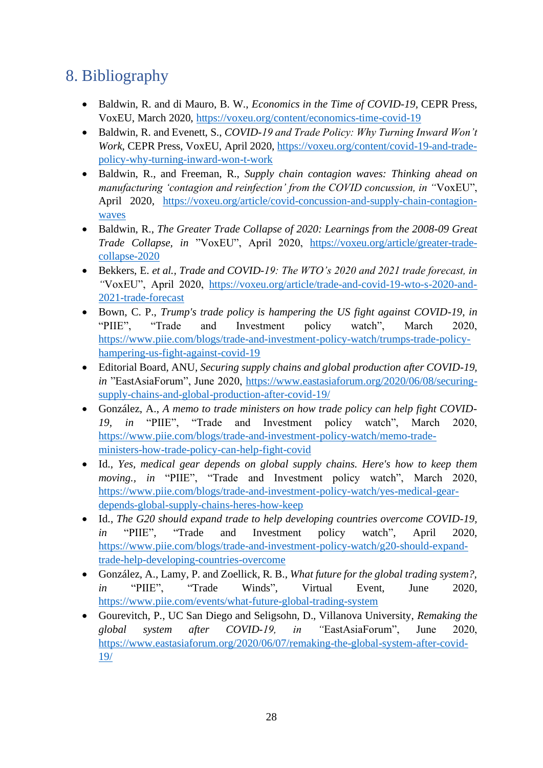# <span id="page-27-0"></span>8. Bibliography

- Baldwin, R. and di Mauro, B. W., *Economics in the Time of COVID-19,* CEPR Press, VoxEU, March 2020,<https://voxeu.org/content/economics-time-covid-19>
- Baldwin, R. and Evenett, S., *COVID-19 and Trade Policy: Why Turning Inward Won't Work*, CEPR Press, VoxEU, April 2020[, https://voxeu.org/content/covid-19-and-trade](https://voxeu.org/content/covid-19-and-trade-policy-why-turning-inward-won-t-work)[policy-why-turning-inward-won-t-work](https://voxeu.org/content/covid-19-and-trade-policy-why-turning-inward-won-t-work)
- Baldwin, R., and Freeman, R., *Supply chain contagion waves: Thinking ahead on manufacturing 'contagion and reinfection' from the COVID concussion, in "*VoxEU", April 2020, [https://voxeu.org/article/covid-concussion-and-supply-chain-contagion](https://voxeu.org/article/covid-concussion-and-supply-chain-contagion-waves)[waves](https://voxeu.org/article/covid-concussion-and-supply-chain-contagion-waves)
- Baldwin, R., *The Greater Trade Collapse of 2020: Learnings from the 2008-09 Great Trade Collapse, in* "VoxEU", April 2020, [https://voxeu.org/article/greater-trade](https://voxeu.org/article/greater-trade-collapse-2020)[collapse-2020](https://voxeu.org/article/greater-trade-collapse-2020)
- Bekkers, E. *et al., Trade and COVID-19: The WTO's 2020 and 2021 trade forecast, in "*VoxEU", April 2020, [https://voxeu.org/article/trade-and-covid-19-wto-s-2020-and-](https://voxeu.org/article/trade-and-covid-19-wto-s-2020-and-2021-trade-forecast)[2021-trade-forecast](https://voxeu.org/article/trade-and-covid-19-wto-s-2020-and-2021-trade-forecast)
- Bown, C. P., *Trump's trade policy is hampering the US fight against COVID-19, in*  "PIIE", "Trade and Investment policy watch", March 2020, [https://www.piie.com/blogs/trade-and-investment-policy-watch/trumps-trade-policy](https://www.piie.com/blogs/trade-and-investment-policy-watch/trumps-trade-policy-hampering-us-fight-against-covid-19)[hampering-us-fight-against-covid-19](https://www.piie.com/blogs/trade-and-investment-policy-watch/trumps-trade-policy-hampering-us-fight-against-covid-19)
- Editorial Board, ANU, *Securing supply chains and global production after COVID-19, in* "EastAsiaForum", June 2020, [https://www.eastasiaforum.org/2020/06/08/securing](https://www.eastasiaforum.org/2020/06/08/securing-supply-chains-and-global-production-after-covid-19/)[supply-chains-and-global-production-after-covid-19/](https://www.eastasiaforum.org/2020/06/08/securing-supply-chains-and-global-production-after-covid-19/)
- González, A., *A memo to trade ministers on how trade policy can help fight COVID-19, in* "PIIE", "Trade and Investment policy watch", March 2020, [https://www.piie.com/blogs/trade-and-investment-policy-watch/memo-trade](https://www.piie.com/blogs/trade-and-investment-policy-watch/memo-trade-ministers-how-trade-policy-can-help-fight-covid)[ministers-how-trade-policy-can-help-fight-covid](https://www.piie.com/blogs/trade-and-investment-policy-watch/memo-trade-ministers-how-trade-policy-can-help-fight-covid)
- Id., *Yes, medical gear depends on global supply chains. Here's how to keep them moving., in* "PIIE", "Trade and Investment policy watch", March 2020, [https://www.piie.com/blogs/trade-and-investment-policy-watch/yes-medical-gear](https://www.piie.com/blogs/trade-and-investment-policy-watch/yes-medical-gear-depends-global-supply-chains-heres-how-keep)[depends-global-supply-chains-heres-how-keep](https://www.piie.com/blogs/trade-and-investment-policy-watch/yes-medical-gear-depends-global-supply-chains-heres-how-keep)
- Id., *The G20 should expand trade to help developing countries overcome COVID-19, in* "PIIE", "Trade and Investment policy watch", April 2020, [https://www.piie.com/blogs/trade-and-investment-policy-watch/g20-should-expand](https://www.piie.com/blogs/trade-and-investment-policy-watch/g20-should-expand-trade-help-developing-countries-overcome)[trade-help-developing-countries-overcome](https://www.piie.com/blogs/trade-and-investment-policy-watch/g20-should-expand-trade-help-developing-countries-overcome)
- González, A., Lamy, P. and Zoellick, R. B., *What future for the global trading system?, in* "PIIE", "Trade Winds", Virtual Event, June 2020, <https://www.piie.com/events/what-future-global-trading-system>
- Gourevitch, P., UC San Diego and Seligsohn, D., Villanova University, *Remaking the global system after COVID-19, in "*EastAsiaForum", June 2020, [https://www.eastasiaforum.org/2020/06/07/remaking-the-global-system-after-covid-](https://www.eastasiaforum.org/2020/06/07/remaking-the-global-system-after-covid-19/)[19/](https://www.eastasiaforum.org/2020/06/07/remaking-the-global-system-after-covid-19/)